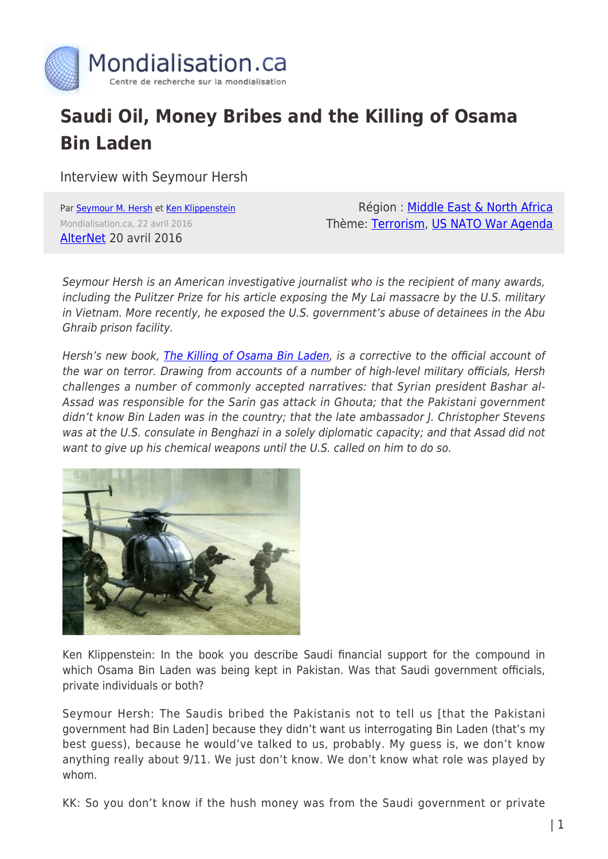

## **Saudi Oil, Money Bribes and the Killing of Osama Bin Laden**

Interview with Seymour Hersh

Par [Seymour M. Hersh](https://www.mondialisation.ca/author/seymour-m-hersh) et [Ken Klippenstein](https://www.mondialisation.ca/author/ken-klippenstein) Mondialisation.ca, 22 avril 2016 [AlterNet](http://www.alternet.org/world/exclusive-interview-seymour-hersh-dishes-saudi-oil-money-bribes-and-killing-osama-bin-laden) 20 avril 2016

Région : [Middle East & North Africa](https://www.mondialisation.ca/region/middle-east) Thème: [Terrorism](https://www.mondialisation.ca/theme/9-11-war-on-terrorism), [US NATO War Agenda](https://www.mondialisation.ca/theme/us-nato-war-agenda)

Seymour Hersh is an American investigative journalist who is the recipient of many awards, including the Pulitzer Prize for his article exposing the My Lai massacre by the U.S. military in Vietnam. More recently, he exposed the U.S. government's abuse of detainees in the Abu Ghraib prison facility.

Hersh's new book, [The Killing of Osama Bin Laden,](http://www.amazon.com/The-Killing-Osama-Bin-Laden/dp/1784784362) is a corrective to the official account of the war on terror. Drawing from accounts of a number of high-level military officials, Hersh challenges a number of commonly accepted narratives: that Syrian president Bashar al-Assad was responsible for the Sarin gas attack in Ghouta; that the Pakistani government didn't know Bin Laden was in the country; that the late ambassador J. Christopher Stevens was at the U.S. consulate in Benghazi in a solely diplomatic capacity; and that Assad did not want to give up his chemical weapons until the U.S. called on him to do so.



Ken Klippenstein: In the book you describe Saudi financial support for the compound in which Osama Bin Laden was being kept in Pakistan. Was that Saudi government officials, private individuals or both?

Seymour Hersh: The Saudis bribed the Pakistanis not to tell us [that the Pakistani government had Bin Laden] because they didn't want us interrogating Bin Laden (that's my best guess), because he would've talked to us, probably. My guess is, we don't know anything really about 9/11. We just don't know. We don't know what role was played by whom.

KK: So you don't know if the hush money was from the Saudi government or private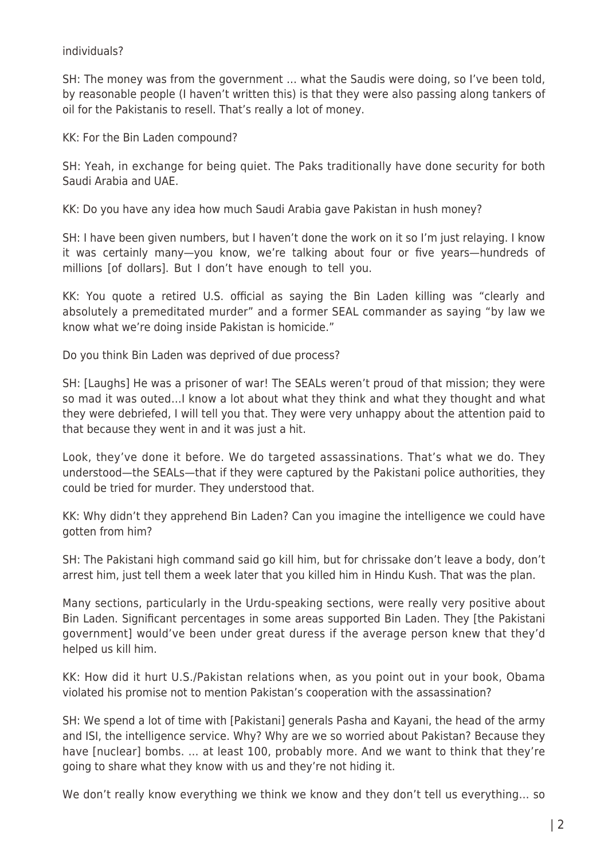individuals?

SH: The money was from the government … what the Saudis were doing, so I've been told, by reasonable people (I haven't written this) is that they were also passing along tankers of oil for the Pakistanis to resell. That's really a lot of money.

KK: For the Bin Laden compound?

SH: Yeah, in exchange for being quiet. The Paks traditionally have done security for both Saudi Arabia and UAE.

KK: Do you have any idea how much Saudi Arabia gave Pakistan in hush money?

SH: I have been given numbers, but I haven't done the work on it so I'm just relaying. I know it was certainly many—you know, we're talking about four or five years—hundreds of millions [of dollars]. But I don't have enough to tell you.

KK: You quote a retired U.S. official as saying the Bin Laden killing was "clearly and absolutely a premeditated murder" and a former SEAL commander as saying "by law we know what we're doing inside Pakistan is homicide."

Do you think Bin Laden was deprived of due process?

SH: [Laughs] He was a prisoner of war! The SEALs weren't proud of that mission; they were so mad it was outed…I know a lot about what they think and what they thought and what they were debriefed, I will tell you that. They were very unhappy about the attention paid to that because they went in and it was just a hit.

Look, they've done it before. We do targeted assassinations. That's what we do. They understood—the SEALs—that if they were captured by the Pakistani police authorities, they could be tried for murder. They understood that.

KK: Why didn't they apprehend Bin Laden? Can you imagine the intelligence we could have gotten from him?

SH: The Pakistani high command said go kill him, but for chrissake don't leave a body, don't arrest him, just tell them a week later that you killed him in Hindu Kush. That was the plan.

Many sections, particularly in the Urdu-speaking sections, were really very positive about Bin Laden. Significant percentages in some areas supported Bin Laden. They [the Pakistani government] would've been under great duress if the average person knew that they'd helped us kill him.

KK: How did it hurt U.S./Pakistan relations when, as you point out in your book, Obama violated his promise not to mention Pakistan's cooperation with the assassination?

SH: We spend a lot of time with [Pakistani] generals Pasha and Kayani, the head of the army and ISI, the intelligence service. Why? Why are we so worried about Pakistan? Because they have [nuclear] bombs. … at least 100, probably more. And we want to think that they're going to share what they know with us and they're not hiding it.

We don't really know everything we think we know and they don't tell us everything… so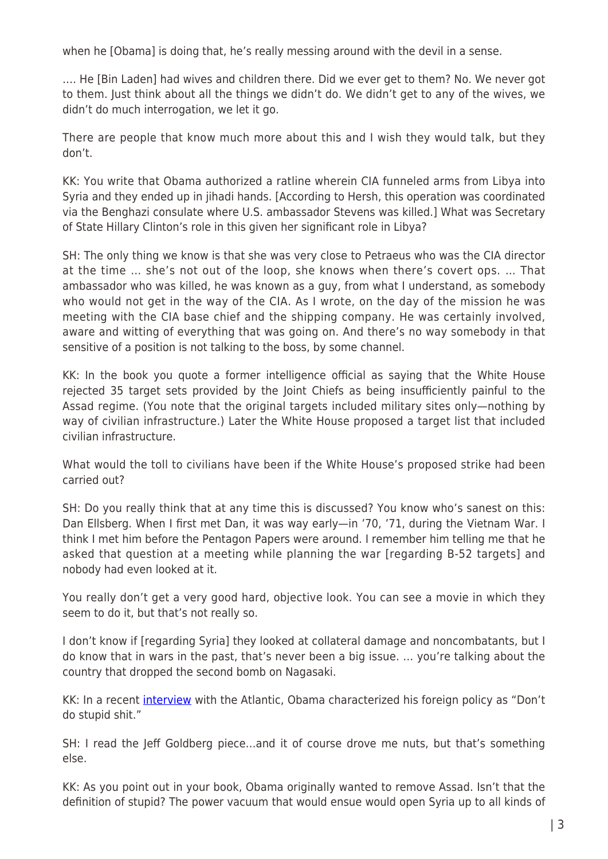when he [Obama] is doing that, he's really messing around with the devil in a sense.

…. He [Bin Laden] had wives and children there. Did we ever get to them? No. We never got to them. Just think about all the things we didn't do. We didn't get to any of the wives, we didn't do much interrogation, we let it go.

There are people that know much more about this and I wish they would talk, but they don't.

KK: You write that Obama authorized a ratline wherein CIA funneled arms from Libya into Syria and they ended up in jihadi hands. [According to Hersh, this operation was coordinated via the Benghazi consulate where U.S. ambassador Stevens was killed.] What was Secretary of State Hillary Clinton's role in this given her significant role in Libya?

SH: The only thing we know is that she was very close to Petraeus who was the CIA director at the time … she's not out of the loop, she knows when there's covert ops. … That ambassador who was killed, he was known as a guy, from what I understand, as somebody who would not get in the way of the CIA. As I wrote, on the day of the mission he was meeting with the CIA base chief and the shipping company. He was certainly involved, aware and witting of everything that was going on. And there's no way somebody in that sensitive of a position is not talking to the boss, by some channel.

KK: In the book you quote a former intelligence official as saying that the White House rejected 35 target sets provided by the Joint Chiefs as being insufficiently painful to the Assad regime. (You note that the original targets included military sites only—nothing by way of civilian infrastructure.) Later the White House proposed a target list that included civilian infrastructure.

What would the toll to civilians have been if the White House's proposed strike had been carried out?

SH: Do you really think that at any time this is discussed? You know who's sanest on this: Dan Ellsberg. When I first met Dan, it was way early—in '70, '71, during the Vietnam War. I think I met him before the Pentagon Papers were around. I remember him telling me that he asked that question at a meeting while planning the war [regarding B-52 targets] and nobody had even looked at it.

You really don't get a very good hard, objective look. You can see a movie in which they seem to do it, but that's not really so.

I don't know if [regarding Syria] they looked at collateral damage and noncombatants, but I do know that in wars in the past, that's never been a big issue. … you're talking about the country that dropped the second bomb on Nagasaki.

KK: In a recent *interview* with the Atlantic, Obama characterized his foreign policy as "Don't do stupid shit."

SH: I read the Jeff Goldberg piece…and it of course drove me nuts, but that's something else.

KK: As you point out in your book, Obama originally wanted to remove Assad. Isn't that the definition of stupid? The power vacuum that would ensue would open Syria up to all kinds of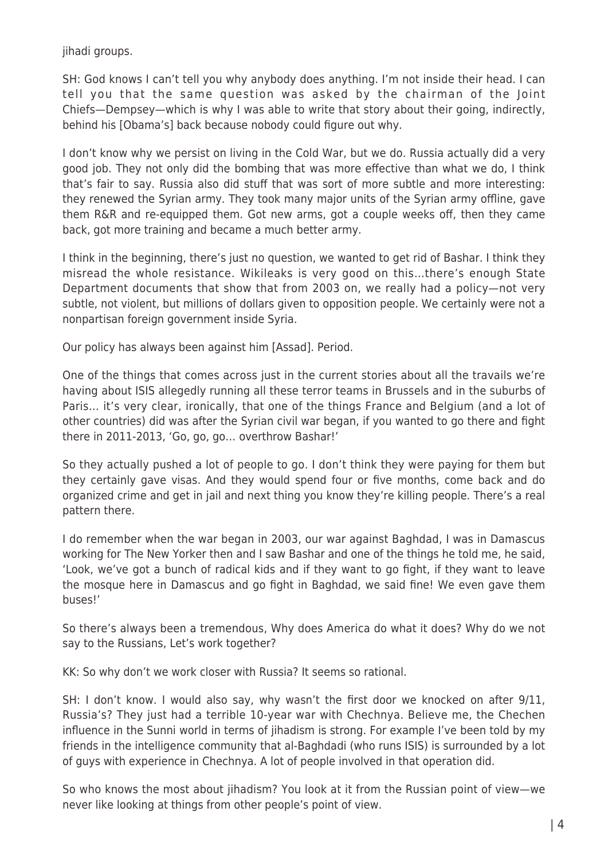jihadi groups.

SH: God knows I can't tell you why anybody does anything. I'm not inside their head. I can tell you that the same question was asked by the chairman of the Joint Chiefs—Dempsey—which is why I was able to write that story about their going, indirectly, behind his [Obama's] back because nobody could figure out why.

I don't know why we persist on living in the Cold War, but we do. Russia actually did a very good job. They not only did the bombing that was more effective than what we do, I think that's fair to say. Russia also did stuff that was sort of more subtle and more interesting: they renewed the Syrian army. They took many major units of the Syrian army offline, gave them R&R and re-equipped them. Got new arms, got a couple weeks off, then they came back, got more training and became a much better army.

I think in the beginning, there's just no question, we wanted to get rid of Bashar. I think they misread the whole resistance. Wikileaks is very good on this…there's enough State Department documents that show that from 2003 on, we really had a policy—not very subtle, not violent, but millions of dollars given to opposition people. We certainly were not a nonpartisan foreign government inside Syria.

Our policy has always been against him [Assad]. Period.

One of the things that comes across just in the current stories about all the travails we're having about ISIS allegedly running all these terror teams in Brussels and in the suburbs of Paris… it's very clear, ironically, that one of the things France and Belgium (and a lot of other countries) did was after the Syrian civil war began, if you wanted to go there and fight there in 2011-2013, 'Go, go, go… overthrow Bashar!'

So they actually pushed a lot of people to go. I don't think they were paying for them but they certainly gave visas. And they would spend four or five months, come back and do organized crime and get in jail and next thing you know they're killing people. There's a real pattern there.

I do remember when the war began in 2003, our war against Baghdad, I was in Damascus working for The New Yorker then and I saw Bashar and one of the things he told me, he said, 'Look, we've got a bunch of radical kids and if they want to go fight, if they want to leave the mosque here in Damascus and go fight in Baghdad, we said fine! We even gave them buses!'

So there's always been a tremendous, Why does America do what it does? Why do we not say to the Russians, Let's work together?

KK: So why don't we work closer with Russia? It seems so rational.

SH: I don't know. I would also say, why wasn't the first door we knocked on after 9/11, Russia's? They just had a terrible 10-year war with Chechnya. Believe me, the Chechen influence in the Sunni world in terms of jihadism is strong. For example I've been told by my friends in the intelligence community that al-Baghdadi (who runs ISIS) is surrounded by a lot of guys with experience in Chechnya. A lot of people involved in that operation did.

So who knows the most about jihadism? You look at it from the Russian point of view—we never like looking at things from other people's point of view.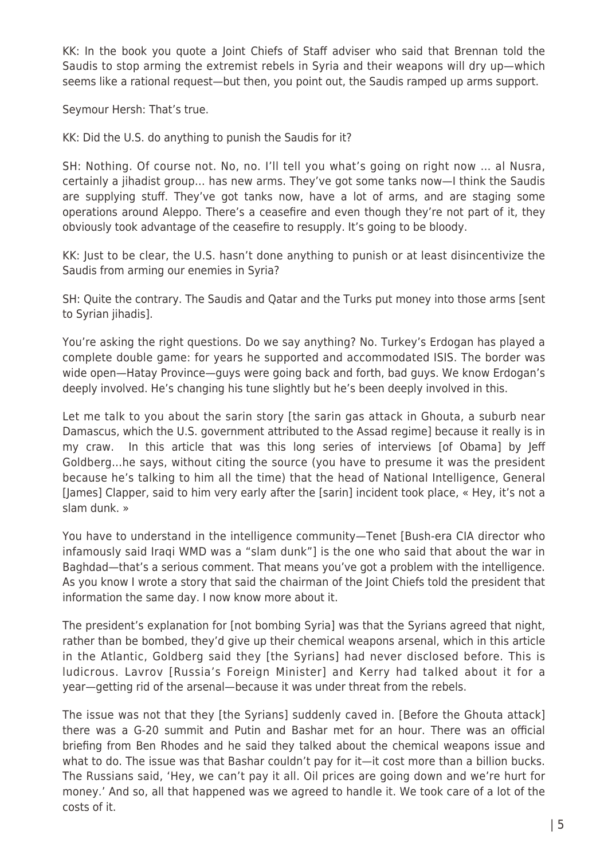KK: In the book you quote a Joint Chiefs of Staff adviser who said that Brennan told the Saudis to stop arming the extremist rebels in Syria and their weapons will dry up—which seems like a rational request—but then, you point out, the Saudis ramped up arms support.

Seymour Hersh: That's true.

KK: Did the U.S. do anything to punish the Saudis for it?

SH: Nothing. Of course not. No, no. I'll tell you what's going on right now … al Nusra, certainly a jihadist group… has new arms. They've got some tanks now—I think the Saudis are supplying stuff. They've got tanks now, have a lot of arms, and are staging some operations around Aleppo. There's a ceasefire and even though they're not part of it, they obviously took advantage of the ceasefire to resupply. It's going to be bloody.

KK: Just to be clear, the U.S. hasn't done anything to punish or at least disincentivize the Saudis from arming our enemies in Syria?

SH: Quite the contrary. The Saudis and Qatar and the Turks put money into those arms [sent to Syrian jihadis].

You're asking the right questions. Do we say anything? No. Turkey's Erdogan has played a complete double game: for years he supported and accommodated ISIS. The border was wide open—Hatay Province—guys were going back and forth, bad guys. We know Erdogan's deeply involved. He's changing his tune slightly but he's been deeply involved in this.

Let me talk to you about the sarin story [the sarin gas attack in Ghouta, a suburb near Damascus, which the U.S. government attributed to the Assad regime] because it really is in my craw. In this article that was this long series of interviews [of Obama] by Jeff Goldberg…he says, without citing the source (you have to presume it was the president because he's talking to him all the time) that the head of National Intelligence, General [James] Clapper, said to him very early after the [sarin] incident took place, « Hey, it's not a slam dunk. »

You have to understand in the intelligence community—Tenet [Bush-era CIA director who infamously said Iraqi WMD was a "slam dunk"] is the one who said that about the war in Baghdad—that's a serious comment. That means you've got a problem with the intelligence. As you know I wrote a story that said the chairman of the Joint Chiefs told the president that information the same day. I now know more about it.

The president's explanation for [not bombing Syria] was that the Syrians agreed that night, rather than be bombed, they'd give up their chemical weapons arsenal, which in this article in the Atlantic, Goldberg said they [the Syrians] had never disclosed before. This is ludicrous. Lavrov [Russia's Foreign Minister] and Kerry had talked about it for a year—getting rid of the arsenal—because it was under threat from the rebels.

The issue was not that they [the Syrians] suddenly caved in. [Before the Ghouta attack] there was a G-20 summit and Putin and Bashar met for an hour. There was an official briefing from Ben Rhodes and he said they talked about the chemical weapons issue and what to do. The issue was that Bashar couldn't pay for it—it cost more than a billion bucks. The Russians said, 'Hey, we can't pay it all. Oil prices are going down and we're hurt for money.' And so, all that happened was we agreed to handle it. We took care of a lot of the costs of it.